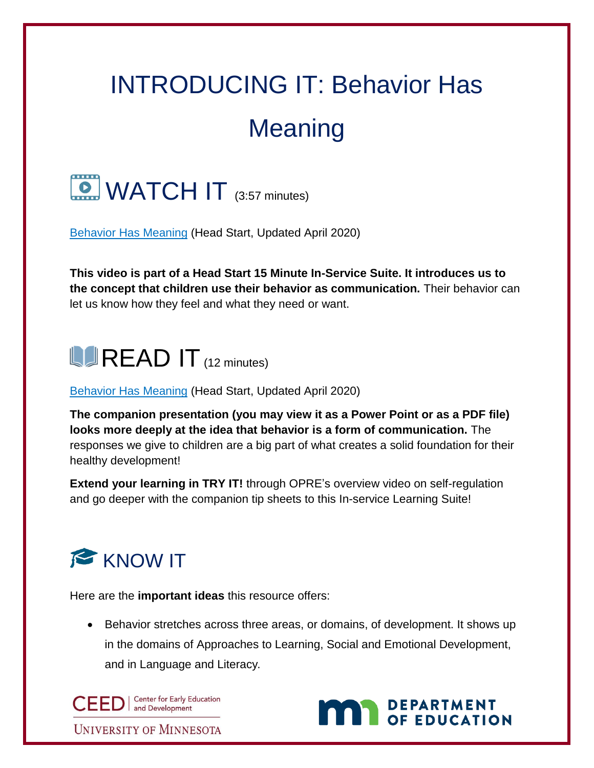## INTRODUCING IT: Behavior Has Meaning



[Behavior Has Meaning](https://eclkc.ohs.acf.hhs.gov/video/behavior-has-meaning) (Head Start, Updated April 2020)

**This video is part of a Head Start 15 Minute In-Service Suite. It introduces us to the concept that children use their behavior as communication.** Their behavior can let us know how they feel and what they need or want.

## $\blacksquare$ READ IT  $(12 \text{ minutes})$

[Behavior Has Meaning](https://eclkc.ohs.acf.hhs.gov/video/behavior-has-meaning) (Head Start, Updated April 2020)

**The companion presentation (you may view it as a Power Point or as a PDF file) looks more deeply at the idea that behavior is a form of communication.** The responses we give to children are a big part of what creates a solid foundation for their healthy development!

**Extend your learning in TRY IT!** through OPRE's overview video on self-regulation and go deeper with the companion tip sheets to this In-service Learning Suite!



Here are the **important ideas** this resource offers:

• Behavior stretches across three areas, or domains, of development. It shows up in the domains of Approaches to Learning, Social and Emotional Development, and in Language and Literacy.

CEED | Center for Early Ed **Center for Early Education** 

DEPARTMENT

**UNIVERSITY OF MINNESOTA**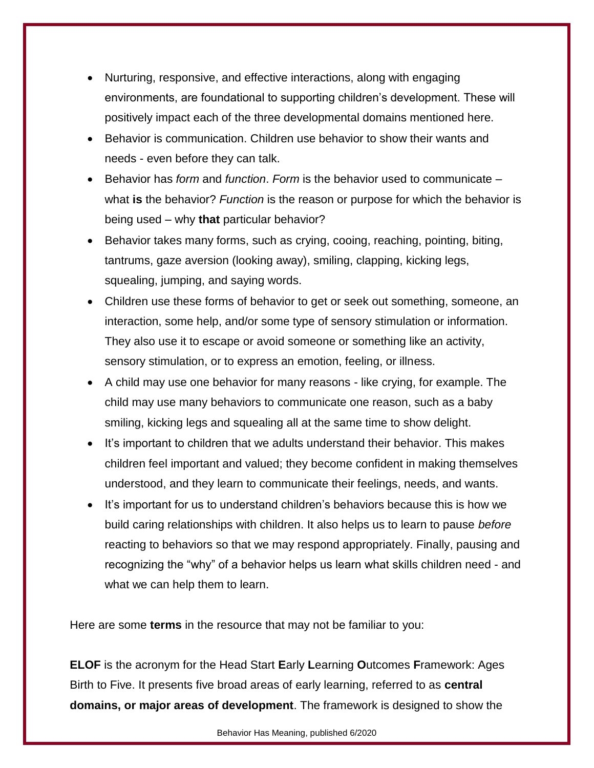- Nurturing, responsive, and effective interactions, along with engaging environments, are foundational to supporting children's development. These will positively impact each of the three developmental domains mentioned here.
- Behavior is communication. Children use behavior to show their wants and needs - even before they can talk.
- Behavior has *form* and *function*. *Form* is the behavior used to communicate what **is** the behavior? *Function* is the reason or purpose for which the behavior is being used – why **that** particular behavior?
- Behavior takes many forms, such as crying, cooing, reaching, pointing, biting, tantrums, gaze aversion (looking away), smiling, clapping, kicking legs, squealing, jumping, and saying words.
- Children use these forms of behavior to get or seek out something, someone, an interaction, some help, and/or some type of sensory stimulation or information. They also use it to escape or avoid someone or something like an activity, sensory stimulation, or to express an emotion, feeling, or illness.
- A child may use one behavior for many reasons like crying, for example. The child may use many behaviors to communicate one reason, such as a baby smiling, kicking legs and squealing all at the same time to show delight.
- It's important to children that we adults understand their behavior. This makes children feel important and valued; they become confident in making themselves understood, and they learn to communicate their feelings, needs, and wants.
- It's important for us to understand children's behaviors because this is how we build caring relationships with children. It also helps us to learn to pause *before* reacting to behaviors so that we may respond appropriately. Finally, pausing and recognizing the "why" of a behavior helps us learn what skills children need - and what we can help them to learn.

Here are some **terms** in the resource that may not be familiar to you:

**ELOF** is the acronym for the Head Start **E**arly **L**earning **O**utcomes **F**ramework: Ages Birth to Five. It presents five broad areas of early learning, referred to as **central domains, or major areas of development**. The framework is designed to show the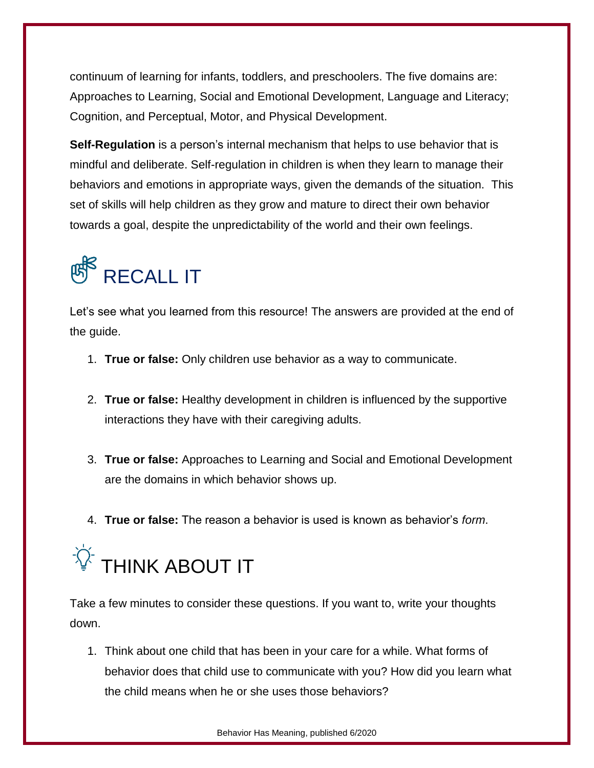continuum of learning for infants, toddlers, and preschoolers. The five domains are: Approaches to Learning, Social and Emotional Development, Language and Literacy; Cognition, and Perceptual, Motor, and Physical Development.

**Self-Regulation** is a person's internal mechanism that helps to use behavior that is mindful and deliberate. Self-regulation in children is when they learn to manage their behaviors and emotions in appropriate ways, given the demands of the situation. This set of skills will help children as they grow and mature to direct their own behavior towards a goal, despite the unpredictability of the world and their own feelings.



Let's see what you learned from this resource! The answers are provided at the end of the guide.

- 1. **True or false:** Only children use behavior as a way to communicate.
- 2. **True or false:** Healthy development in children is influenced by the supportive interactions they have with their caregiving adults.
- 3. **True or false:** Approaches to Learning and Social and Emotional Development are the domains in which behavior shows up.
- 4. **True or false:** The reason a behavior is used is known as behavior's *form*.



Take a few minutes to consider these questions. If you want to, write your thoughts down.

1. Think about one child that has been in your care for a while. What forms of behavior does that child use to communicate with you? How did you learn what the child means when he or she uses those behaviors?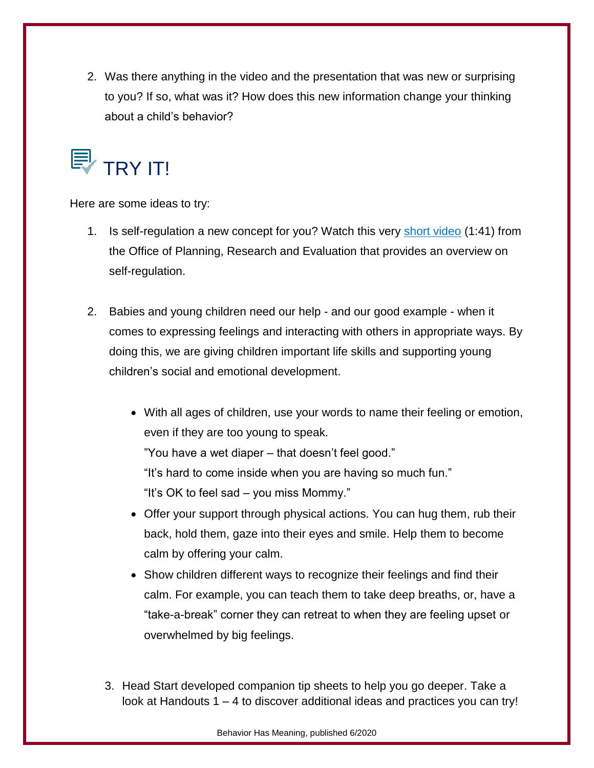2. Was there anything in the video and the presentation that was new or surprising to you? If so, what was it? How does this new information change your thinking about a child's behavior?



Here are some ideas to try:

- 1. Is self-regulation a new concept for you? Watch this very [short video](https://www.youtube.com/watch?time_continue=58&v=ha3YUWLl9x0&feature=emb_logo) (1:41) from the Office of Planning, Research and Evaluation that provides an overview on self-regulation.
- 2. Babies and young children need our help and our good example when it comes to expressing feelings and interacting with others in appropriate ways. By doing this, we are giving children important life skills and supporting young children's social and emotional development.
	- With all ages of children, use your words to name their feeling or emotion, even if they are too young to speak. "You have a wet diaper – that doesn't feel good." "It's hard to come inside when you are having so much fun."
		- "It's OK to feel sad you miss Mommy."
	- Offer your support through physical actions. You can hug them, rub their back, hold them, gaze into their eyes and smile. Help them to become calm by offering your calm.
	- Show children different ways to recognize their feelings and find their calm. For example, you can teach them to take deep breaths, or, have a "take-a-break" corner they can retreat to when they are feeling upset or overwhelmed by big feelings.
	- 3. Head Start developed companion tip sheets to help you go deeper. Take a look at Handouts 1 – 4 to discover additional ideas and practices you can try!